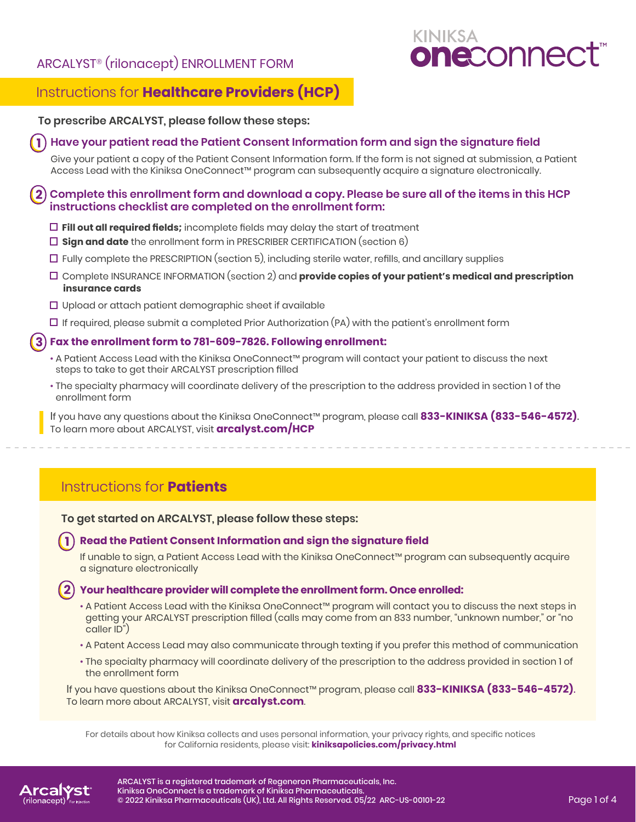# ARCALYST® (rilonacept) ENROLLMENT FORM



# Instructions for **Healthcare Providers (HCP)**

## **To prescribe ARCALYST, please follow these steps:**

#### **Have your patient read the Patient Consent Information form and sign the signature field 1**

 Give your patient a copy of the Patient Consent Information form. If the form is not signed at submission, a Patient Access Lead with the Kiniksa OneConnect™ program can subsequently acquire a signature electronically.

#### **Complete this enrollment form and download a copy. Please be sure all of the items in this HCP instructions checklist are completed on the enrollment form: 2**

- **Fill out all required fields;** incomplete fields may delay the start of treatment
- **Sign and date** the enrollment form in PRESCRIBER CERTIFICATION (section 6)
- $\Box$  Fully complete the PRESCRIPTION (section 5), including sterile water, refills, and ancillary supplies
- Complete INSURANCE INFORMATION (section 2) and **provide copies of your patient's medical and prescription insurance cards**
- $\Box$  Upload or attach patient demographic sheet if available
- $\Box$  If required, please submit a completed Prior Authorization (PA) with the patient's enrollment form

#### **Fax the enrollment form to 781-609-7826. Following enrollment: 3**

- A Patient Access Lead with the Kiniksa OneConnect™ program will contact your patient to discuss the next steps to take to get their ARCALYST prescription filled
- The specialty pharmacy will coordinate delivery of the prescription to the address provided in section 1 of the enrollment form

If you have any questions about the Kiniksa OneConnect™ program, please call **833-KINIKSA (833-546-4572)**. To learn more about ARCALYST, visit **[arcalyst.com/HCP](https://www.arcalyst.com/hcp)**

# Instructions for **Patients**

**To get started on ARCALYST, please follow these steps:**

#### **Read the Patient Consent Information and sign the signature field 1**

If unable to sign, a Patient Access Lead with the Kiniksa OneConnect™ program can subsequently acquire a signature electronically

## **Your healthcare provider will complete the enrollment form. Once enrolled: 2**

- A Patient Access Lead with the Kiniksa OneConnect™ program will contact you to discuss the next steps in getting your ARCALYST prescription filled (calls may come from an 833 number, "unknown number," or "no caller ID")
- A Patent Access Lead may also communicate through texting if you prefer this method of communication
- The specialty pharmacy will coordinate delivery of the prescription to the address provided in section 1 of the enrollment form

If you have questions about the Kiniksa OneConnect™ program, please call **833-KINIKSA (833-546-4572)**. To learn more about ARCALYST, visit **[arcalyst.com](https://www.arcalyst.com)**.

For details about how Kiniksa collects and uses personal information, your privacy rights, and specific notices for California residents, please visit: **[kiniksapolicies.com/privacy.html](https://www.kiniksapolicies.com/privacy.html)**

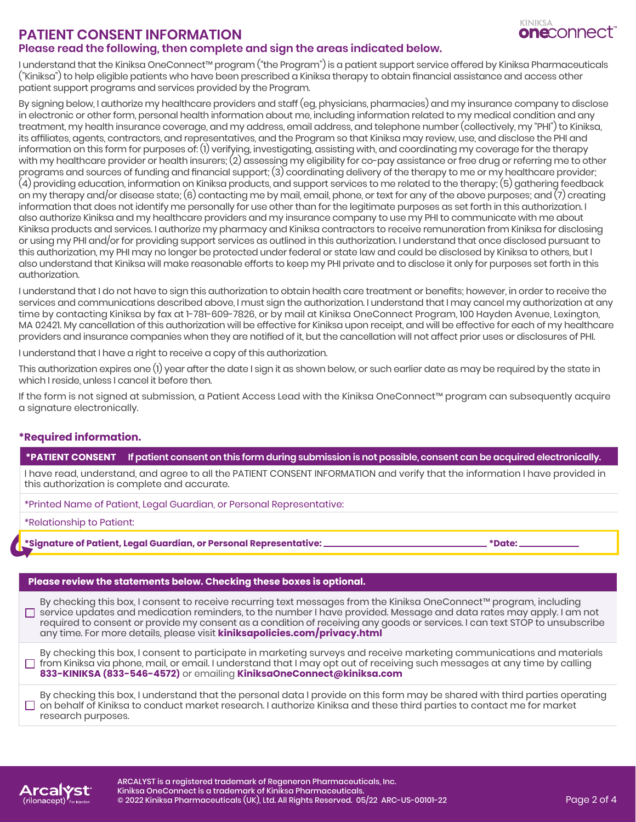

## **PATIENT CONSENT INFORMATION Please read the following, then complete and sign the areas indicated below.**

I understand that the Kiniksa OneConnect™ program ("the Program") is a patient support service offered by Kiniksa Pharmaceuticals ("Kiniksa") to help eligible patients who have been prescribed a Kiniksa therapy to obtain financial assistance and access other patient support programs and services provided by the Program.

By signing below, I authorize my healthcare providers and staff (eg, physicians, pharmacies) and my insurance company to disclose in electronic or other form, personal health information about me, including information related to my medical condition and any treatment, my health insurance coverage, and my address, email address, and telephone number (collectively, my "PHI") to Kiniksa, its affiliates, agents, contractors, and representatives, and the Program so that Kiniksa may review, use, and disclose the PHI and information on this form for purposes of: (1) verifying, investigating, assisting with, and coordinating my coverage for the therapy with my healthcare provider or health insurers; (2) assessing my eligibility for co-pay assistance or free drug or referring me to other programs and sources of funding and financial support; (3) coordinating delivery of the therapy to me or my healthcare provider; (4) providing education, information on Kiniksa products, and support services to me related to the therapy; (5) gathering feedback on my therapy and/or disease state; (6) contacting me by mail, email, phone, or text for any of the above purposes; and (7) creating information that does not identify me personally for use other than for the legitimate purposes as set forth in this authorization. I also authorize Kiniksa and my healthcare providers and my insurance company to use my PHI to communicate with me about Kiniksa products and services. I authorize my pharmacy and Kiniksa contractors to receive remuneration from Kiniksa for disclosing or using my PHI and/or for providing support services as outlined in this authorization. I understand that once disclosed pursuant to this authorization, my PHI may no longer be protected under federal or state law and could be disclosed by Kiniksa to others, but I also understand that Kiniksa will make reasonable efforts to keep my PHI private and to disclose it only for purposes set forth in this authorization.

I understand that I do not have to sign this authorization to obtain health care treatment or benefits; however, in order to receive the services and communications described above, I must sign the authorization. I understand that I may cancel my authorization at any time by contacting Kiniksa by fax at 1-781-609-7826, or by mail at Kiniksa OneConnect Program, 100 Hayden Avenue, Lexington, MA 02421. My cancellation of this authorization will be effective for Kiniksa upon receipt, and will be effective for each of my healthcare providers and insurance companies when they are notified of it, but the cancellation will not affect prior uses or disclosures of PHI.

I understand that I have a right to receive a copy of this authorization.

This authorization expires one (1) year after the date I sign it as shown below, or such earlier date as may be required by the state in which I reside, unless I cancel it before then.

If the form is not signed at submission, a Patient Access Lead with the Kiniksa OneConnect™ program can subsequently acquire a signature electronically.

## **\*Required information.**

#### **\*PATIENT CONSENT If patient consent on this form during submission is not possible, consent can be acquired electronically.**

I have read, understand, and agree to all the PATIENT CONSENT INFORMATION and verify that the information I have provided in this authorization is complete and accurate.

\*Printed Name of Patient, Legal Guardian, or Personal Representative:

\*Relationship to Patient:

**\*Signature of Patient, Legal Guardian, or Personal Representative: \*Date:** 

#### **Please review the statements below. Checking these boxes is optional.**

By checking this box, I consent to receive recurring text messages from the Kiniksa OneConnect™ program, including service updates and medication reminders, to the number I have provided. Message and data rates may apply. I am not required to consent or provide my consent as a condition of receiving any goods or services. I can text STOP to unsubscribe any time. For more details, please visit **[kiniksapolicies.com/privacy.html](http://kiniksapolicies.com/privacy.html)**

By checking this box, I consent to participate in marketing surveys and receive marketing communications and materials  $\Box$  from Kiniksa via phone, mail, or email. I understand that I may opt out of receiving such messages at any time by calling **833-KINIKSA (833-546-4572)** or emailing **KiniksaOneConnect@kiniksa.com**

By checking this box, I understand that the personal data I provide on this form may be shared with third parties operating  $\Box$  on behalf of Kiniksa to conduct market research. I authorize Kiniksa and these third parties to contact me for market research purposes.

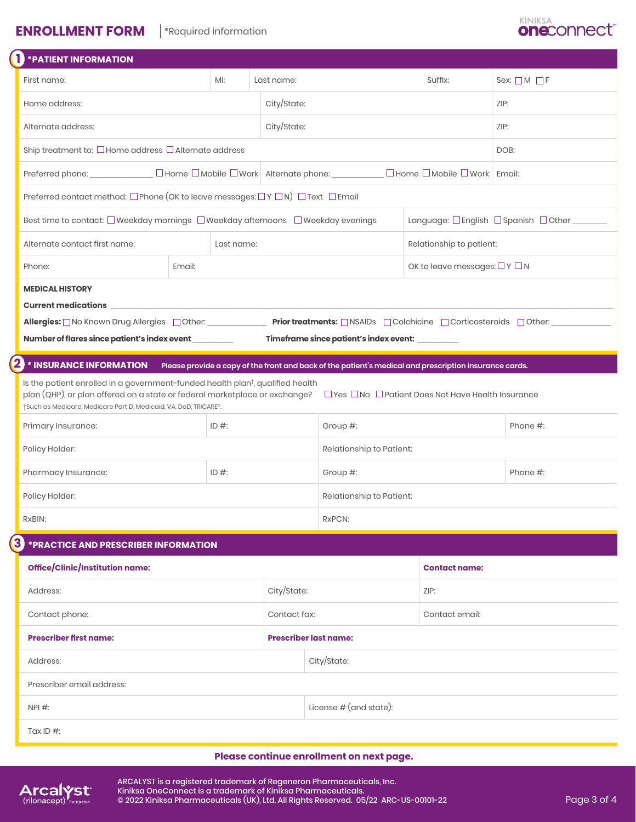# **ENROLLMENT FORM \*Required information**



| <b>FATIENT INFORMATION</b>                                                                                                                                                                                                                                                                                   |                                                                                                                                        |                                                                                                                     |                                                  |                                       |                                    |  |  |
|--------------------------------------------------------------------------------------------------------------------------------------------------------------------------------------------------------------------------------------------------------------------------------------------------------------|----------------------------------------------------------------------------------------------------------------------------------------|---------------------------------------------------------------------------------------------------------------------|--------------------------------------------------|---------------------------------------|------------------------------------|--|--|
| First name:                                                                                                                                                                                                                                                                                                  | MI:<br>Last name:                                                                                                                      |                                                                                                                     |                                                  | Suffix:                               | Sex: $\Box M \Box F$               |  |  |
| Home address:                                                                                                                                                                                                                                                                                                |                                                                                                                                        |                                                                                                                     |                                                  |                                       | ZIP:                               |  |  |
| Alternate address:                                                                                                                                                                                                                                                                                           | City/State:                                                                                                                            |                                                                                                                     | ZIP:                                             |                                       |                                    |  |  |
| Ship treatment to: □ Home address □ Alternate address                                                                                                                                                                                                                                                        |                                                                                                                                        |                                                                                                                     | DOB:                                             |                                       |                                    |  |  |
|                                                                                                                                                                                                                                                                                                              |                                                                                                                                        | Preferred phone: ______________ □ Home □ Mobile □ Work   Alternate phone: _________ □ Home □ Mobile □ Work   Email: |                                                  |                                       |                                    |  |  |
| Preferred contact method: □ Phone (OK to leave messages: □ Y □ N) □ Text □ Email                                                                                                                                                                                                                             |                                                                                                                                        |                                                                                                                     |                                                  |                                       |                                    |  |  |
| Best time to contact: □ Weekday mornings □ Weekday afternoons □ Weekday evenings                                                                                                                                                                                                                             |                                                                                                                                        |                                                                                                                     |                                                  |                                       | Language: □English □Spanish □Other |  |  |
| Alternate contact first name:                                                                                                                                                                                                                                                                                | Last name:                                                                                                                             |                                                                                                                     | Relationship to patient:                         |                                       |                                    |  |  |
| Email:<br>Phone:                                                                                                                                                                                                                                                                                             |                                                                                                                                        |                                                                                                                     |                                                  | OK to leave messages: $\Box Y \Box N$ |                                    |  |  |
| <b>MEDICAL HISTORY</b>                                                                                                                                                                                                                                                                                       |                                                                                                                                        |                                                                                                                     |                                                  |                                       |                                    |  |  |
|                                                                                                                                                                                                                                                                                                              |                                                                                                                                        |                                                                                                                     |                                                  |                                       |                                    |  |  |
|                                                                                                                                                                                                                                                                                                              | Allergies: ON Known Drug Allergies Dother: _______________ Prior treatments: ONSAIDs DColchicine DCorticosteroids Dother: ____________ |                                                                                                                     |                                                  |                                       |                                    |  |  |
| Number of flares since patient's index event __________                                                                                                                                                                                                                                                      |                                                                                                                                        |                                                                                                                     | Timeframe since patient's index event: _________ |                                       |                                    |  |  |
| $\bf{2}$<br>* INSURANCE INFORMATION Please provide a copy of the front and back of the patient's medical and prescription insurance cards.                                                                                                                                                                   |                                                                                                                                        |                                                                                                                     |                                                  |                                       |                                    |  |  |
| Is the patient enrolled in a government-funded health plan <sup>t</sup> , qualified health<br>plan (QHP), or plan offered on a state or federal marketplace or exchange?<br>TYes $\Box$ No $\Box$ Patient Does Not Have Health Insurance<br>†Such as Medicare, Medicare Part D, Medicaid, VA, DoD, TRICARE®. |                                                                                                                                        |                                                                                                                     |                                                  |                                       |                                    |  |  |
| Primary Insurance:                                                                                                                                                                                                                                                                                           | ID $#$ :                                                                                                                               |                                                                                                                     | Group #:                                         |                                       | Phone #:                           |  |  |
| Policy Holder:                                                                                                                                                                                                                                                                                               |                                                                                                                                        |                                                                                                                     |                                                  | Relationship to Patient:              |                                    |  |  |
| Pharmacy Insurance:                                                                                                                                                                                                                                                                                          | ID $#$ :                                                                                                                               |                                                                                                                     | Group #:                                         |                                       | Phone #:                           |  |  |
| Policy Holder:                                                                                                                                                                                                                                                                                               |                                                                                                                                        | Relationship to Patient:                                                                                            |                                                  |                                       |                                    |  |  |
| RxBIN:                                                                                                                                                                                                                                                                                                       |                                                                                                                                        |                                                                                                                     | RxPCN:                                           |                                       |                                    |  |  |
| $\mathbf{3}$<br>*PRACTICE AND PRESCRIBER INFORMATION                                                                                                                                                                                                                                                         |                                                                                                                                        |                                                                                                                     |                                                  |                                       |                                    |  |  |
| Office/Clinic/Institution name:                                                                                                                                                                                                                                                                              |                                                                                                                                        |                                                                                                                     | <b>Contact name:</b>                             |                                       |                                    |  |  |
| Address:                                                                                                                                                                                                                                                                                                     |                                                                                                                                        | City/State:                                                                                                         |                                                  | ZIP:                                  |                                    |  |  |
| Contact phone:                                                                                                                                                                                                                                                                                               |                                                                                                                                        | Contact fax:                                                                                                        |                                                  | Contact email:                        |                                    |  |  |
| <b>Prescriber first name:</b>                                                                                                                                                                                                                                                                                |                                                                                                                                        |                                                                                                                     | <b>Prescriber last name:</b>                     |                                       |                                    |  |  |
| Address:                                                                                                                                                                                                                                                                                                     |                                                                                                                                        | City/State:                                                                                                         |                                                  |                                       |                                    |  |  |
| Prescriber email address:                                                                                                                                                                                                                                                                                    |                                                                                                                                        |                                                                                                                     |                                                  |                                       |                                    |  |  |
| NPI #:                                                                                                                                                                                                                                                                                                       |                                                                                                                                        | License $#$ (and state):                                                                                            |                                                  |                                       |                                    |  |  |
| Tax ID $#$ :                                                                                                                                                                                                                                                                                                 |                                                                                                                                        |                                                                                                                     |                                                  |                                       |                                    |  |  |

### **Please continue enrollment on next page.**